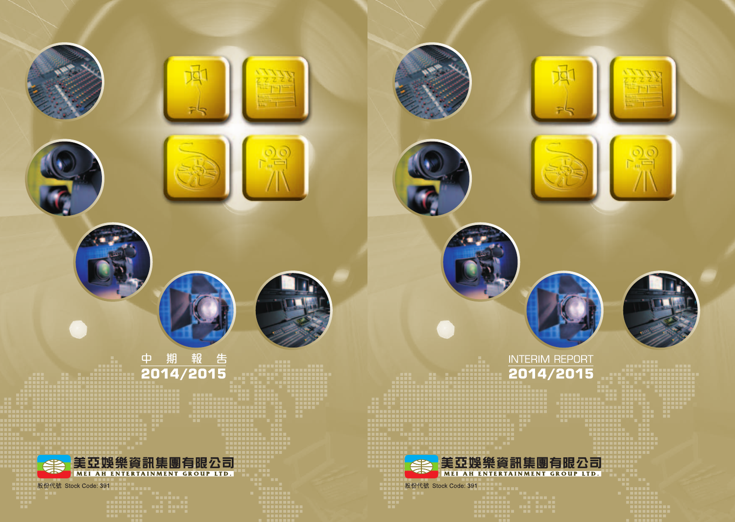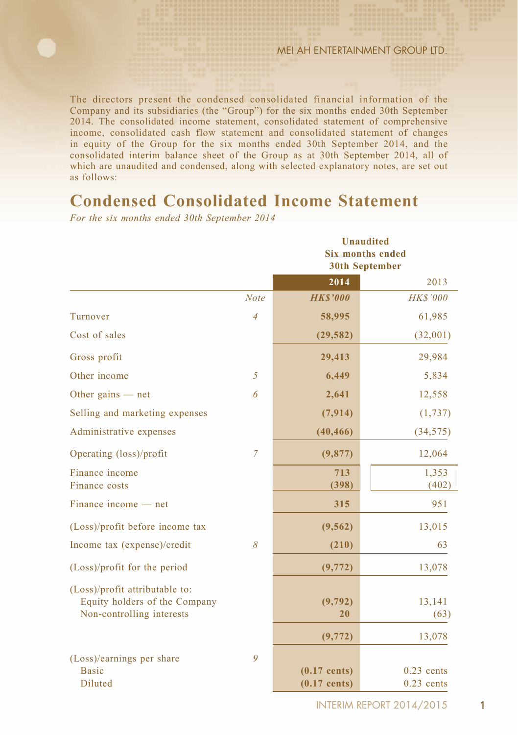The directors present the condensed consolidated financial information of the Company and its subsidiaries (the "Group") for the six months ended 30th September 2014. The consolidated income statement, consolidated statement of comprehensive income, consolidated cash flow statement and consolidated statement of changes in equity of the Group for the six months ended 30th September 2014, and the consolidated interim balance sheet of the Group as at 30th September 2014, all of which are unaudited and condensed, along with selected explanatory notes, are set out as follows:

# **Condensed Consolidated Income Statement**

*For the six months ended 30th September 2014*

|                                                                                              |                | <b>Unaudited</b><br><b>Six months ended</b><br><b>30th September</b> |                              |  |  |  |
|----------------------------------------------------------------------------------------------|----------------|----------------------------------------------------------------------|------------------------------|--|--|--|
|                                                                                              |                | 2014                                                                 | 2013                         |  |  |  |
|                                                                                              | <b>Note</b>    | <b>HKS'000</b>                                                       | <b>HK\$'000</b>              |  |  |  |
| Turnover                                                                                     | $\overline{4}$ | 58,995                                                               | 61,985                       |  |  |  |
| Cost of sales                                                                                |                | (29, 582)                                                            | (32,001)                     |  |  |  |
| Gross profit                                                                                 |                | 29,413                                                               | 29,984                       |  |  |  |
| Other income                                                                                 | 5              | 6,449                                                                | 5,834                        |  |  |  |
| Other gains $-$ net                                                                          | 6              | 2,641                                                                | 12,558                       |  |  |  |
| Selling and marketing expenses                                                               |                | (7, 914)                                                             | (1, 737)                     |  |  |  |
| Administrative expenses                                                                      |                | (40, 466)                                                            | (34, 575)                    |  |  |  |
| Operating (loss)/profit                                                                      | $\overline{7}$ | (9,877)                                                              | 12,064                       |  |  |  |
| Finance income<br>Finance costs                                                              |                | 713<br>(398)                                                         | 1,353<br>(402)               |  |  |  |
| Finance income — net                                                                         |                | 315                                                                  | 951                          |  |  |  |
| (Loss)/profit before income tax                                                              |                | (9, 562)                                                             | 13,015                       |  |  |  |
| Income tax (expense)/credit                                                                  | 8              | (210)                                                                | 63                           |  |  |  |
| (Loss)/profit for the period                                                                 |                | (9, 772)                                                             | 13,078                       |  |  |  |
| (Loss)/profit attributable to:<br>Equity holders of the Company<br>Non-controlling interests |                | (9, 792)<br>20                                                       | 13,141<br>(63)               |  |  |  |
|                                                                                              |                | (9, 772)                                                             | 13,078                       |  |  |  |
| (Loss)/earnings per share<br><b>Basic</b><br>Diluted                                         | 9              | $(0.17$ cents)<br>$(0.17$ cents)                                     | $0.23$ cents<br>$0.23$ cents |  |  |  |

**INTERIM REPORT 2014/2015** 1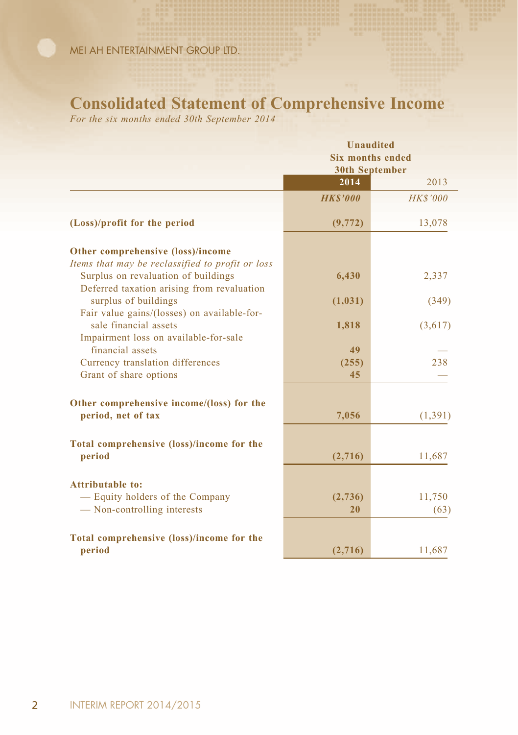### **Consolidated Statement of Comprehensive Income**

*For the six months ended 30th September 2014*

|                                                                                                                   | <b>Unaudited</b><br><b>Six months ended</b><br><b>30th September</b> |                 |  |  |
|-------------------------------------------------------------------------------------------------------------------|----------------------------------------------------------------------|-----------------|--|--|
|                                                                                                                   | 2014                                                                 | 2013            |  |  |
|                                                                                                                   | <b>HKS'000</b>                                                       | <b>HK\$'000</b> |  |  |
| (Loss)/profit for the period                                                                                      | (9, 772)                                                             | 13,078          |  |  |
| Other comprehensive (loss)/income                                                                                 |                                                                      |                 |  |  |
| Items that may be reclassified to profit or loss<br>Surplus on revaluation of buildings                           | 6,430                                                                | 2,337           |  |  |
| Deferred taxation arising from revaluation<br>surplus of buildings<br>Fair value gains/(losses) on available-for- | (1, 031)                                                             | (349)           |  |  |
| sale financial assets<br>Impairment loss on available-for-sale                                                    | 1,818                                                                | (3,617)         |  |  |
| financial assets                                                                                                  | 49                                                                   |                 |  |  |
| Currency translation differences<br>Grant of share options                                                        | (255)<br>45                                                          | 238             |  |  |
| Other comprehensive income/(loss) for the                                                                         |                                                                      |                 |  |  |
| period, net of tax                                                                                                | 7,056                                                                | (1, 391)        |  |  |
| Total comprehensive (loss)/income for the                                                                         |                                                                      |                 |  |  |
| period                                                                                                            | (2,716)                                                              | 11,687          |  |  |
| <b>Attributable to:</b>                                                                                           |                                                                      |                 |  |  |
| - Equity holders of the Company                                                                                   | (2,736)                                                              | 11,750          |  |  |
| — Non-controlling interests                                                                                       | 20                                                                   | (63)            |  |  |
| Total comprehensive (loss)/income for the                                                                         |                                                                      |                 |  |  |
| period                                                                                                            | (2,716)                                                              | 11,687          |  |  |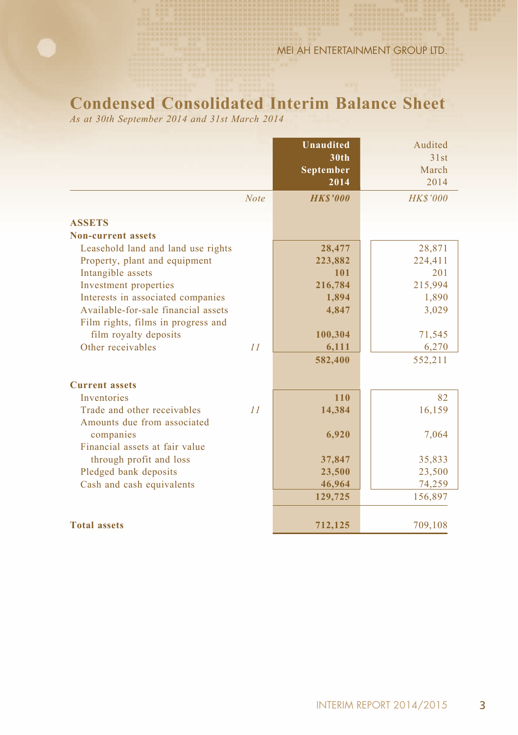# **Condensed Consolidated Interim Balance Sheet**

*As at 30th September 2014 and 31st March 2014*

|                                                            |             | <b>Unaudited</b><br>30 <sub>th</sub><br>September<br>2014 | Audited<br>31st<br>March<br>2014 |
|------------------------------------------------------------|-------------|-----------------------------------------------------------|----------------------------------|
|                                                            | <b>Note</b> | <b>HKS'000</b>                                            | <b>HK\$'000</b>                  |
| <b>ASSETS</b>                                              |             |                                                           |                                  |
| <b>Non-current assets</b>                                  |             |                                                           |                                  |
| Leasehold land and land use rights                         |             | 28,477                                                    | 28,871                           |
| Property, plant and equipment                              |             | 223,882                                                   | 224,411                          |
| Intangible assets                                          |             | 101                                                       | 201                              |
| Investment properties                                      |             | 216,784                                                   | 215,994                          |
| Interests in associated companies                          |             | 1,894                                                     | 1,890                            |
| Available-for-sale financial assets                        |             | 4,847                                                     | 3,029                            |
| Film rights, films in progress and                         |             |                                                           |                                  |
| film royalty deposits                                      |             | 100,304                                                   | 71,545                           |
| Other receivables                                          | 11          | 6,111                                                     | 6,270                            |
|                                                            |             | 582,400                                                   | 552,211                          |
| <b>Current assets</b>                                      |             |                                                           |                                  |
| <b>Inventories</b>                                         |             | 110                                                       | 82                               |
| Trade and other receivables<br>Amounts due from associated | 11          | 14,384                                                    | 16,159                           |
| companies                                                  |             | 6,920                                                     | 7,064                            |
| Financial assets at fair value                             |             |                                                           |                                  |
| through profit and loss                                    |             | 37,847                                                    | 35,833                           |
| Pledged bank deposits                                      |             | 23,500                                                    | 23,500                           |
| Cash and cash equivalents                                  |             | 46,964                                                    | 74,259                           |
|                                                            |             | 129,725                                                   | 156,897                          |
| <b>Total assets</b>                                        |             | 712,125                                                   | 709,108                          |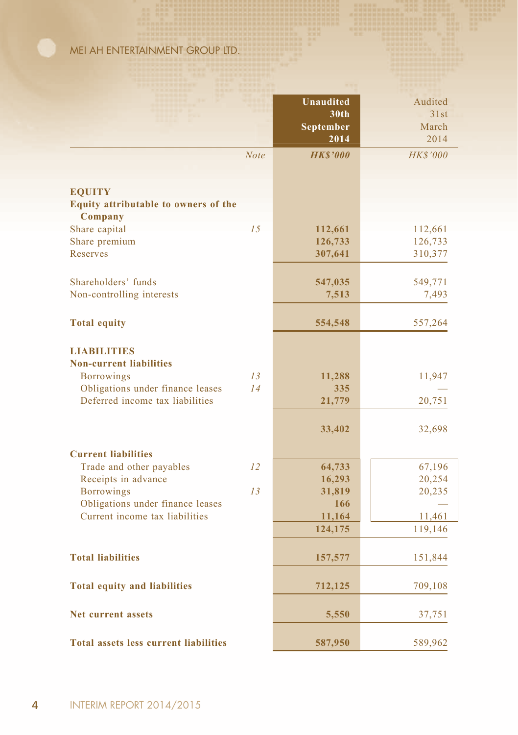|                                                       |             | <b>Unaudited</b><br>30th<br><b>September</b><br>2014 | Audited<br>31st<br>March<br>2014 |
|-------------------------------------------------------|-------------|------------------------------------------------------|----------------------------------|
|                                                       | <b>Note</b> | <b>HKS'000</b>                                       | <b>HK\$'000</b>                  |
|                                                       |             |                                                      |                                  |
| <b>EQUITY</b>                                         |             |                                                      |                                  |
| Equity attributable to owners of the                  |             |                                                      |                                  |
| Company                                               |             |                                                      |                                  |
| Share capital                                         | 15          | 112,661                                              | 112,661                          |
| Share premium                                         |             | 126,733                                              | 126,733                          |
| Reserves                                              |             | 307,641                                              | 310,377                          |
|                                                       |             |                                                      |                                  |
| Shareholders' funds                                   |             | 547,035                                              | 549,771                          |
| Non-controlling interests                             |             | 7,513                                                | 7,493                            |
| <b>Total equity</b>                                   |             | 554,548                                              | 557,264                          |
|                                                       |             |                                                      |                                  |
| <b>LIABILITIES</b><br><b>Non-current liabilities</b>  |             |                                                      |                                  |
| <b>Borrowings</b>                                     | 13          | 11,288                                               | 11,947                           |
| Obligations under finance leases                      | 14          | 335                                                  |                                  |
| Deferred income tax liabilities                       |             | 21,779                                               | 20,751                           |
|                                                       |             |                                                      |                                  |
|                                                       |             | 33,402                                               | 32,698                           |
|                                                       |             |                                                      |                                  |
| <b>Current liabilities</b>                            |             |                                                      |                                  |
| Trade and other payables                              | 12          | 64,733                                               | 67,196                           |
| Receipts in advance                                   | 13          | 16,293                                               | 20,254                           |
| <b>Borrowings</b><br>Obligations under finance leases |             | 31,819<br>166                                        | 20,235                           |
| Current income tax liabilities                        |             | 11,164                                               | 11,461                           |
|                                                       |             | 124,175                                              | 119,146                          |
|                                                       |             |                                                      |                                  |
| <b>Total liabilities</b>                              |             | 157,577                                              | 151,844                          |
|                                                       |             |                                                      |                                  |
| <b>Total equity and liabilities</b>                   |             | 712,125                                              | 709,108                          |
|                                                       |             |                                                      |                                  |
| <b>Net current assets</b>                             |             | 5,550                                                | 37,751                           |
|                                                       |             |                                                      |                                  |
| <b>Total assets less current liabilities</b>          |             | 587,950                                              | 589,962                          |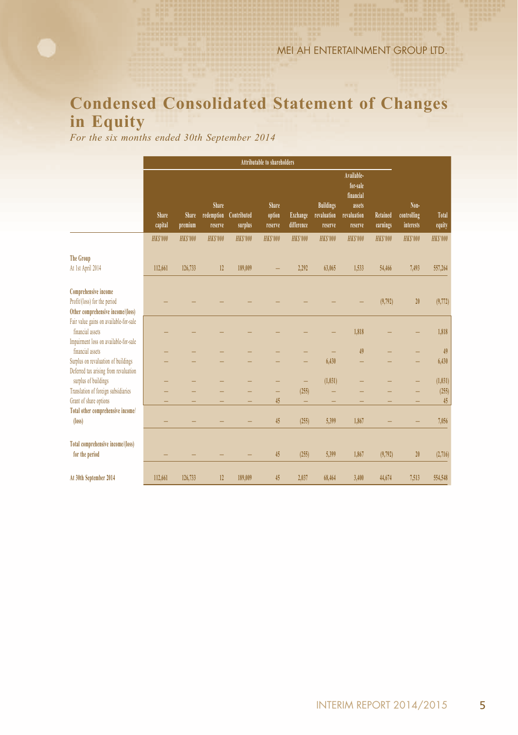# **Condensed Consolidated Statement of Changes in Equity**

*For the six months ended 30th September 2014*

|                                                                                                  | Attributable to shareholders |                  |                                |                        |                            |                               |                                            |                                                                         |                      |                                  |                 |
|--------------------------------------------------------------------------------------------------|------------------------------|------------------|--------------------------------|------------------------|----------------------------|-------------------------------|--------------------------------------------|-------------------------------------------------------------------------|----------------------|----------------------------------|-----------------|
|                                                                                                  | Share<br>capital             | Share<br>premium | Share<br>redemption<br>reserve | Contributed<br>surplus | Share<br>option<br>reserve | <b>Exchange</b><br>difference | <b>Buildings</b><br>revaluation<br>reserve | Available-<br>for-sale<br>financial<br>assets<br>revaluation<br>reserve | Retained<br>earnings | Non-<br>controlling<br>interests | Total<br>equity |
|                                                                                                  | <b>HKS'000</b>               | <b>HKS'000</b>   | <b>HKS'000</b>                 | <b>HKS'000</b>         | <b>HKS'000</b>             | <b>HKS'000</b>                | <b>HKS'000</b>                             | <b>HKS'000</b>                                                          | <b>HKS'000</b>       | <b>HKS'000</b>                   | <b>HKS'000</b>  |
| <b>The Group</b><br>At 1st April 2014                                                            | 112,661                      | 126,733          | 12                             | 189,009                |                            | 2,292                         | 63,065                                     | 1,533                                                                   | 54,466               | 7,493                            | 557,264         |
| Comprehensive income<br>Profit/(loss) for the period<br>Other comprehensive income/(loss)        |                              |                  |                                |                        |                            |                               |                                            |                                                                         | (9,792)              | 20                               | (9,772)         |
| Fair value gains on available-for-sale<br>financial assets                                       |                              |                  |                                |                        |                            |                               |                                            | 1.818                                                                   |                      |                                  | 1,818           |
| Impairment loss on available-for-sale<br>financial assets<br>Surplus on revaluation of buildings |                              |                  |                                |                        |                            |                               | 6,430                                      | 49                                                                      |                      |                                  | 49<br>6,430     |
| Deferred tax arising from revaluation<br>surplus of buildings                                    |                              |                  |                                |                        |                            | -                             | (1,031)                                    |                                                                         |                      |                                  | (1, 031)        |
| Translation of foreign subsidiaries<br>Grant of share options                                    |                              |                  |                                |                        | 45                         | (255)<br>-                    |                                            |                                                                         |                      |                                  | (255)<br>45     |
| Total other comprehensive income/<br>(loss)                                                      |                              |                  |                                |                        | 45                         | (255)                         | 5,399                                      | 1,867                                                                   |                      |                                  | 7,056           |
| Total comprehensive income/(loss)<br>for the period                                              |                              |                  |                                |                        | 45                         | (255)                         | 5,399                                      | 1,867                                                                   | (9,792)              | 20                               | (2,716)         |
| At 30th September 2014                                                                           | 112,661                      | 126,733          | 12                             | 189,009                | 45                         | 2.037                         | 68,464                                     | 3.400                                                                   | 44,674               | 7,513                            | 554.548         |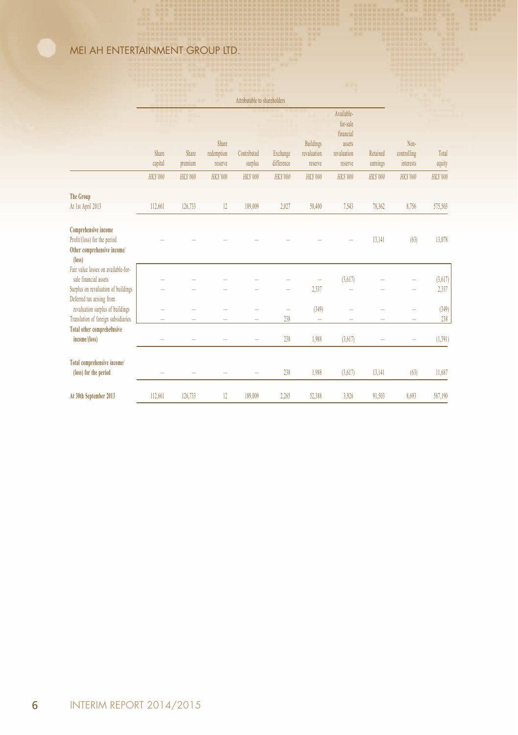|                                                                  |                 |                |                | ATTHORIZOIC TO SHALCHOILICIS. |                |                  |                     |                |                |                |
|------------------------------------------------------------------|-----------------|----------------|----------------|-------------------------------|----------------|------------------|---------------------|----------------|----------------|----------------|
|                                                                  |                 |                |                |                               |                |                  | Available-          |                |                |                |
|                                                                  |                 |                |                |                               |                |                  | for-sale            |                |                |                |
|                                                                  |                 |                | Share          |                               |                | <b>Buildings</b> | financial<br>assets |                | Non-           |                |
|                                                                  | Share           | Share          | redemption     | Contributed                   | Exchange       | revaluation      | revaluation         | Retained       | controlling    | Total          |
|                                                                  | capital         | premium        | reserve        | surplus                       | difference     | reserve          | reserve             | earnings       | interests      | equity         |
|                                                                  | <b>HK\$'000</b> | <b>HKS'000</b> | <b>HKS'000</b> | <b>HK\$'000</b>               | <b>HKS'000</b> | <b>HKS'000</b>   | <b>HKS'000</b>      | <b>HKS'000</b> | <b>HKS'000</b> | <b>HKS'000</b> |
| <b>The Group</b>                                                 |                 |                |                |                               |                |                  |                     |                |                |                |
| At 1st April 2013                                                | 112,661         | 126,733        | 12             | 189,009                       | 2,027          | 50,400           | 7,543               | 78,362         | 8,756          | 575,503        |
| <b>Comprehensive income</b>                                      |                 |                |                |                               |                |                  |                     |                |                |                |
| Profit/(loss) for the period                                     |                 |                |                |                               |                |                  |                     | 13,141         | (63)           | 13,078         |
| Other comprehensive income/<br>(loss)                            |                 |                |                |                               |                |                  |                     |                |                |                |
| Fair value losses on available-for-                              |                 |                |                |                               |                |                  |                     |                |                |                |
| sale financial assets                                            |                 |                |                |                               |                |                  | (3,617)             |                |                | (3,617)        |
| Surplus on revaluation of buildings<br>Deferred tax arising from |                 |                |                |                               |                | 2,337            |                     |                |                | 2,337          |
| revaluation surplus of buildings                                 |                 |                |                |                               |                | (349)            |                     |                |                | (349)          |
| Translation of foreign subsidiaries                              |                 |                |                |                               | 238            |                  |                     |                |                | 238            |
| <b>Total other comprehe0nsive</b>                                |                 |                |                |                               |                |                  |                     |                |                |                |
| income/(loss)                                                    |                 |                |                |                               | 238            | 1,988            | (3,617)             |                |                | (1, 391)       |
| Total comprehensive income/                                      |                 |                |                |                               |                |                  |                     |                |                |                |
| (loss) for the period                                            |                 |                |                |                               | 238            | 1,988            | (3,617)             | 13,141         | (63)           | 11,687         |
|                                                                  |                 |                |                |                               |                |                  |                     |                |                |                |
| At 30th September 2013                                           | 112,661         | 126,733        | 12             | 189,009                       | 2,265          | 52,388           | 3.926               | 91,503         | 8.693          | 587,190        |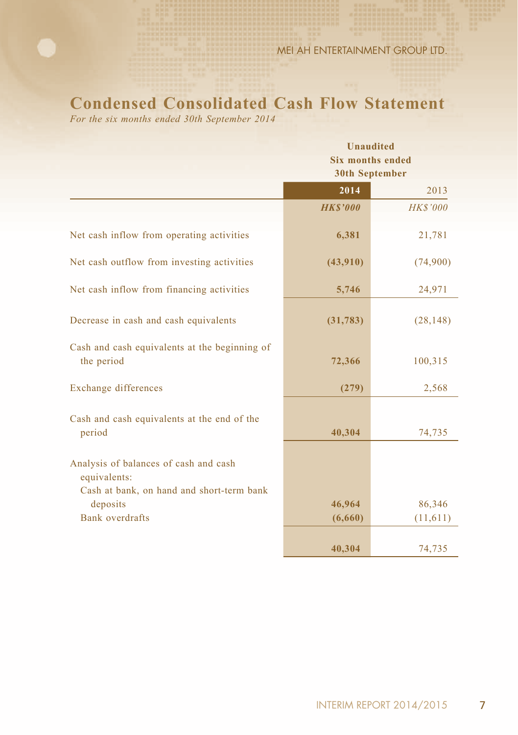# **Condensed Consolidated Cash Flow Statement**

*For the six months ended 30th September 2014*

|                                                                                                    | <b>Unaudited</b><br><b>Six months ended</b><br><b>30th September</b> |                 |  |  |
|----------------------------------------------------------------------------------------------------|----------------------------------------------------------------------|-----------------|--|--|
|                                                                                                    | 2014                                                                 | 2013            |  |  |
|                                                                                                    | <b>HKS'000</b>                                                       | <b>HK\$'000</b> |  |  |
| Net cash inflow from operating activities                                                          | 6,381                                                                | 21,781          |  |  |
| Net cash outflow from investing activities                                                         | (43,910)                                                             | (74,900)        |  |  |
| Net cash inflow from financing activities                                                          | 5,746                                                                | 24,971          |  |  |
| Decrease in cash and cash equivalents                                                              | (31, 783)                                                            | (28, 148)       |  |  |
| Cash and cash equivalents at the beginning of<br>the period                                        | 72,366                                                               | 100,315         |  |  |
| Exchange differences                                                                               | (279)                                                                | 2,568           |  |  |
| Cash and cash equivalents at the end of the<br>period                                              | 40,304                                                               | 74,735          |  |  |
| Analysis of balances of cash and cash<br>equivalents:<br>Cash at bank, on hand and short-term bank |                                                                      |                 |  |  |
| deposits                                                                                           | 46,964                                                               | 86,346          |  |  |
| Bank overdrafts                                                                                    | (6,660)                                                              | (11,611)        |  |  |
|                                                                                                    | 40,304                                                               | 74,735          |  |  |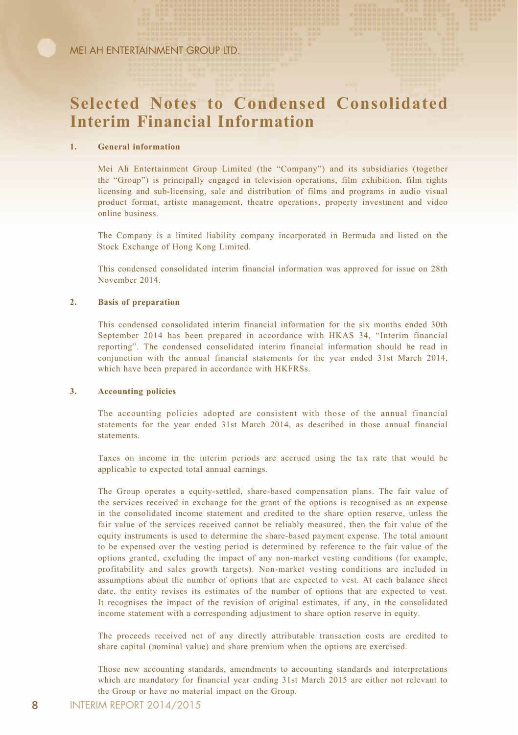# **Selected Notes to Condensed Consolidated Interim Financial Information**

#### **1. General information**

Mei Ah Entertainment Group Limited (the "Company") and its subsidiaries (together the "Group") is principally engaged in television operations, film exhibition, film rights licensing and sub-licensing, sale and distribution of films and programs in audio visual product format, artiste management, theatre operations, property investment and video online business.

The Company is a limited liability company incorporated in Bermuda and listed on the Stock Exchange of Hong Kong Limited.

This condensed consolidated interim financial information was approved for issue on 28th November 2014.

#### **2. Basis of preparation**

This condensed consolidated interim financial information for the six months ended 30th September 2014 has been prepared in accordance with HKAS 34, "Interim financial reporting". The condensed consolidated interim financial information should be read in conjunction with the annual financial statements for the year ended 31st March 2014, which have been prepared in accordance with HKFRSs.

#### **3. Accounting policies**

The accounting policies adopted are consistent with those of the annual financial statements for the year ended 31st March 2014, as described in those annual financial statements.

Taxes on income in the interim periods are accrued using the tax rate that would be applicable to expected total annual earnings.

The Group operates a equity-settled, share-based compensation plans. The fair value of the services received in exchange for the grant of the options is recognised as an expense in the consolidated income statement and credited to the share option reserve, unless the fair value of the services received cannot be reliably measured, then the fair value of the equity instruments is used to determine the share-based payment expense. The total amount to be expensed over the vesting period is determined by reference to the fair value of the options granted, excluding the impact of any non-market vesting conditions (for example, profitability and sales growth targets). Non-market vesting conditions are included in assumptions about the number of options that are expected to vest. At each balance sheet date, the entity revises its estimates of the number of options that are expected to vest. It recognises the impact of the revision of original estimates, if any, in the consolidated income statement with a corresponding adjustment to share option reserve in equity.

The proceeds received net of any directly attributable transaction costs are credited to share capital (nominal value) and share premium when the options are exercised.

Those new accounting standards, amendments to accounting standards and interpretations which are mandatory for financial year ending 31st March 2015 are either not relevant to the Group or have no material impact on the Group.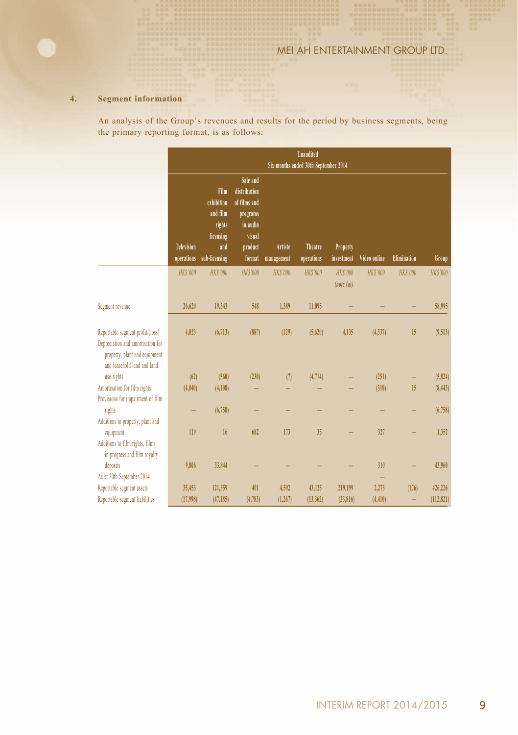#### **4. Segment information**

An analysis of the Group's revenues and results for the period by business segments, being the primary reporting format, is as follows:

|                                                                                                                                       | <b>Unaudited</b><br>Six months ended 30th September 2014 |                                                                               |                                                                                                 |                       |                       |                              |                 |                    |                 |
|---------------------------------------------------------------------------------------------------------------------------------------|----------------------------------------------------------|-------------------------------------------------------------------------------|-------------------------------------------------------------------------------------------------|-----------------------|-----------------------|------------------------------|-----------------|--------------------|-----------------|
|                                                                                                                                       | Television<br>operations                                 | Film<br>exhibition<br>and film<br>rights<br>licensing<br>and<br>sub-licensing | Sale and<br>distribution<br>of films and<br>programs<br>in audio<br>visual<br>product<br>format | Artiste<br>management | Theatre<br>operations | Property<br>investment       | Video online    | <b>Elimination</b> | Group           |
|                                                                                                                                       | <b>HKS'000</b>                                           | <b>HKS'000</b>                                                                | <b>HKS'000</b>                                                                                  | <b>HK\$'000</b>       | <b>HK\$'000</b>       | <b>HK\$'000</b><br>(note(a)) | <b>HK\$'000</b> | <b>HK\$'000</b>    | <b>HK\$'000</b> |
| Segment revenue                                                                                                                       | 26,620                                                   | 19,343                                                                        | 548                                                                                             | 1.389                 | 11,095                |                              |                 |                    | 58.995          |
| Reportable segment profit/(loss)<br>Depreciation and amortisation for<br>property, plant and equipment<br>and leasehold land and land | 4,023                                                    | (6,713)                                                                       | (887)                                                                                           | (129)                 | (5,620)               | 4,135                        | (4.337)         | 15                 | (9,513)         |
| use rights                                                                                                                            | (62)                                                     | (560)                                                                         | (230)                                                                                           | (7)                   | (4,714)               |                              | (251)           |                    | (5,824)         |
| Amortisation for film rights<br>Provisions for impairment of film                                                                     | (4.040)                                                  | (4,108)                                                                       |                                                                                                 |                       |                       |                              | (310)           | 15                 | (8, 443)        |
| rights<br>Additions to property, plant and                                                                                            |                                                          | (6,758)                                                                       |                                                                                                 |                       |                       |                              |                 |                    | (6,758)         |
| equipment<br>Additions to film rights, films<br>in progress and film royalty                                                          | 119                                                      | 16                                                                            | 682                                                                                             | 173                   | 35                    |                              | 327             |                    | 1.352           |
| deposits<br>As at 30th September 2014                                                                                                 | 9,806                                                    | 33,844                                                                        |                                                                                                 |                       |                       |                              | 310             |                    | 43.960          |
| Reportable segment assets                                                                                                             | 35.453                                                   | 121,359                                                                       | 401                                                                                             | 4.592                 | 43,125                | 219,199                      | 2.273           | (176)              | 426.226         |
| Reportable segment liabilities                                                                                                        | (17,998)                                                 | (47, 185)                                                                     | (4,783)                                                                                         | (1, 267)              | (13,362)              | (23, 816)                    | (4, 410)        |                    | (112, 821)      |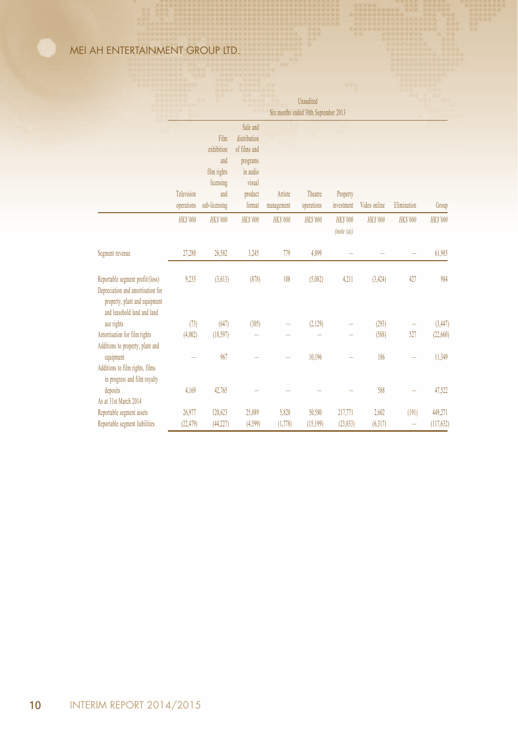|                                                                                                                                       | Six months ended 30th September 2013 |                |                          |                 |                 |                              |                 |                 |                 |
|---------------------------------------------------------------------------------------------------------------------------------------|--------------------------------------|----------------|--------------------------|-----------------|-----------------|------------------------------|-----------------|-----------------|-----------------|
|                                                                                                                                       |                                      | Film           | Sale and<br>distribution |                 |                 |                              |                 |                 |                 |
|                                                                                                                                       |                                      | exhibition     | of films and             |                 |                 |                              |                 |                 |                 |
|                                                                                                                                       |                                      | and            | programs                 |                 |                 |                              |                 |                 |                 |
|                                                                                                                                       |                                      | film rights    | in audio                 |                 |                 |                              |                 |                 |                 |
|                                                                                                                                       |                                      | licensing      | visual                   |                 |                 |                              |                 |                 |                 |
|                                                                                                                                       | Television                           | and            | product                  | Artiste         | Theatre         | Property                     |                 |                 |                 |
|                                                                                                                                       | operations                           | sub-licensing  | format                   | management      | operations      | investment                   | Video online    | Elimination     | Group           |
|                                                                                                                                       | <b>HK\$'000</b>                      | <b>HKS'000</b> | <b>HK\$'000</b>          | <b>HK\$'000</b> | <b>HK\$'000</b> | <b>HK\$'000</b><br>(note(a)) | <b>HK\$'000</b> | <b>HK\$'000</b> | <b>HK\$'000</b> |
| Segment revenue                                                                                                                       | 27,280                               | 26,582         | 3,245                    | 779             | 4,099           |                              |                 |                 | 61,985          |
| Reportable segment profit/(loss)<br>Depreciation and amortisation for<br>property, plant and equipment<br>and leasehold land and land | 9,235                                | (3,613)        | (878)                    | 108             | (5.082)         | 4,211                        | (3, 424)        | 427             | 984             |
| use rights                                                                                                                            | (73)                                 | (647)          | (305)                    |                 | (2,129)         |                              | (293)           |                 | (3, 447)        |
| Amortisation for film rights<br>Additions to property, plant and                                                                      | (4,002)                              | (18, 597)      |                          |                 |                 |                              | (588)           | 527             | (22,660)        |
| equipment<br>Additions to film rights, films<br>in progress and film royalty                                                          |                                      | 967            |                          |                 | 10,196          |                              | 186             |                 | 11,349          |
| deposits<br>As at 31st March 2014                                                                                                     | 4,169                                | 42,765         |                          |                 |                 |                              | 588             |                 | 47,522          |
| Reportable segment assets                                                                                                             | 26,977                               | 120,623        | 25,089                   | 5,820           | 50,580          | 217,771                      | 2,602           | (191)           | 449,271         |
| Reportable segment liabilities                                                                                                        | (22, 479)                            | (44, 227)      | (4,599)                  | (1,778)         | (15, 199)       | (23, 033)                    | (6, 317)        | -               | (117, 632)      |

Unaudited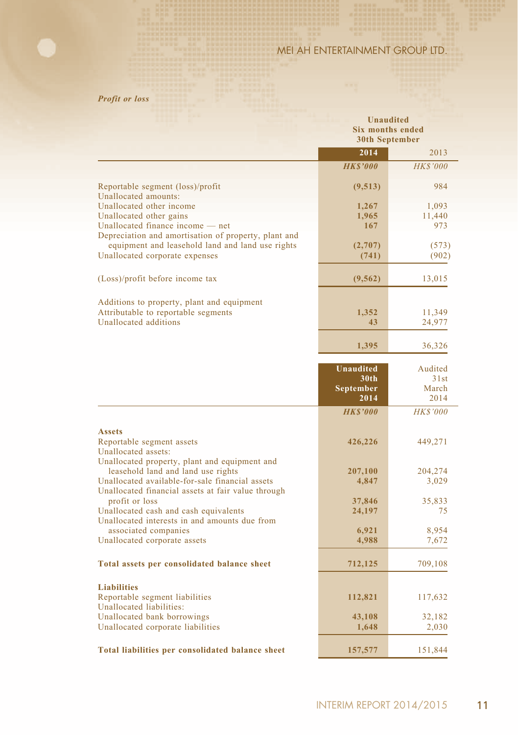### *Profit or loss*

|                                                                                                       | <b>Unaudited</b><br><b>Six months ended</b><br><b>30th September</b> |                 |  |
|-------------------------------------------------------------------------------------------------------|----------------------------------------------------------------------|-----------------|--|
|                                                                                                       | 2014                                                                 | 2013            |  |
|                                                                                                       | <b>HKS'000</b>                                                       | <b>HK\$'000</b> |  |
| Reportable segment (loss)/profit<br>Unallocated amounts:                                              | (9,513)                                                              | 984             |  |
| Unallocated other income                                                                              | 1,267                                                                | 1,093           |  |
| Unallocated other gains                                                                               | 1,965                                                                | 11,440          |  |
| Unallocated finance income - net                                                                      | 167                                                                  | 973             |  |
| Depreciation and amortisation of property, plant and                                                  |                                                                      |                 |  |
| equipment and leasehold land and land use rights                                                      | (2,707)                                                              | (573)           |  |
| Unallocated corporate expenses                                                                        | (741)                                                                | (902)           |  |
| (Loss)/profit before income tax                                                                       | (9, 562)                                                             | 13,015          |  |
|                                                                                                       |                                                                      |                 |  |
| Additions to property, plant and equipment<br>Attributable to reportable segments                     | 1,352                                                                | 11,349          |  |
| Unallocated additions                                                                                 | 43                                                                   | 24,977          |  |
|                                                                                                       |                                                                      |                 |  |
|                                                                                                       | 1,395                                                                | 36,326          |  |
|                                                                                                       | <b>Unaudited</b>                                                     | Audited         |  |
|                                                                                                       | 30 <sub>th</sub>                                                     | 31st            |  |
|                                                                                                       | September                                                            | March           |  |
|                                                                                                       | 2014                                                                 | 2014            |  |
|                                                                                                       | <b>HKS'000</b>                                                       | <b>HK\$'000</b> |  |
| <b>Assets</b>                                                                                         |                                                                      |                 |  |
| Reportable segment assets                                                                             | 426,226                                                              | 449,271         |  |
| Unallocated assets:                                                                                   |                                                                      |                 |  |
| Unallocated property, plant and equipment and                                                         |                                                                      |                 |  |
| leasehold land and land use rights                                                                    | 207,100                                                              | 204,274         |  |
| Unallocated available-for-sale financial assets<br>Unallocated financial assets at fair value through | 4,847                                                                | 3,029           |  |
| profit or loss                                                                                        | 37,846                                                               | 35,833          |  |
| Unallocated cash and cash equivalents                                                                 | 24,197                                                               | 75              |  |
| Unallocated interests in and amounts due from                                                         |                                                                      |                 |  |
| associated companies                                                                                  | 6,921                                                                | 8,954           |  |
| Unallocated corporate assets                                                                          | 4,988                                                                | 7,672           |  |
| Total assets per consolidated balance sheet                                                           | 712,125                                                              | 709,108         |  |
|                                                                                                       |                                                                      |                 |  |
| <b>Liabilities</b>                                                                                    |                                                                      |                 |  |
| Reportable segment liabilities                                                                        | 112,821                                                              | 117,632         |  |
| Unallocated liabilities:                                                                              |                                                                      |                 |  |
| Unallocated bank borrowings                                                                           | 43,108                                                               | 32,182          |  |
| Unallocated corporate liabilities                                                                     | 1,648                                                                | 2,030           |  |
| Total liabilities per consolidated balance sheet                                                      | 157,577                                                              | 151,844         |  |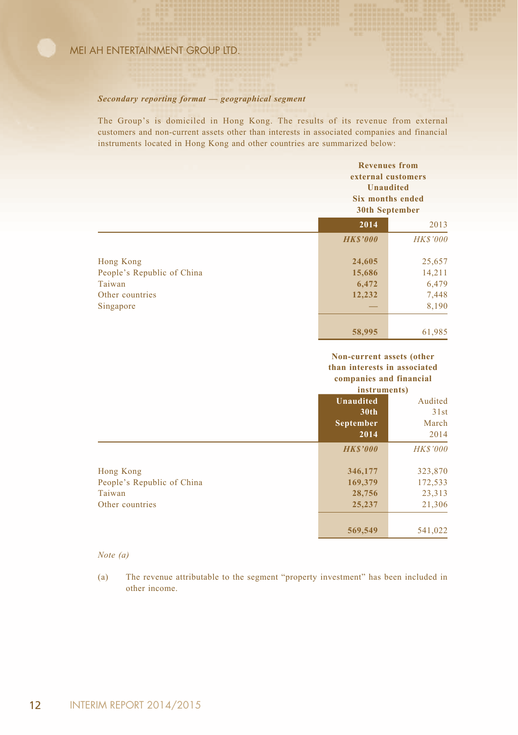#### *Secondary reporting format — geographical segment*

The Group's is domiciled in Hong Kong. The results of its revenue from external customers and non-current assets other than interests in associated companies and financial instruments located in Hong Kong and other countries are summarized below:

|                            | <b>Revenues</b> from<br>external customers<br><b>Unaudited</b><br>Six months ended<br>30th September |                 |
|----------------------------|------------------------------------------------------------------------------------------------------|-----------------|
|                            | 2014                                                                                                 | 2013            |
|                            | <b>HKS'000</b>                                                                                       | <b>HK\$'000</b> |
| Hong Kong                  | 24,605                                                                                               | 25,657          |
| People's Republic of China | 15,686                                                                                               | 14,211          |
| Taiwan                     | 6,472                                                                                                | 6,479           |
| Other countries            | 12,232                                                                                               | 7,448           |
| Singapore                  |                                                                                                      | 8,190           |
|                            | 58,995                                                                                               | 61,985          |

#### **Non-current assets (other than interests in associated companies and financial**

|                            | instruments)     |                 |
|----------------------------|------------------|-----------------|
|                            | <b>Unaudited</b> | Audited         |
|                            | 30 <sub>th</sub> | 31st            |
|                            | September        | March           |
|                            | 2014             | 2014            |
|                            | <b>HKS'000</b>   | <b>HK\$'000</b> |
| Hong Kong                  | 346,177          | 323,870         |
| People's Republic of China | 169,379          | 172,533         |
| Taiwan                     | 28,756           | 23,313          |
| Other countries            | 25,237           | 21,306          |
|                            | 569,549          | 541,022         |

#### *Note (a)*

(a) The revenue attributable to the segment "property investment" has been included in other income.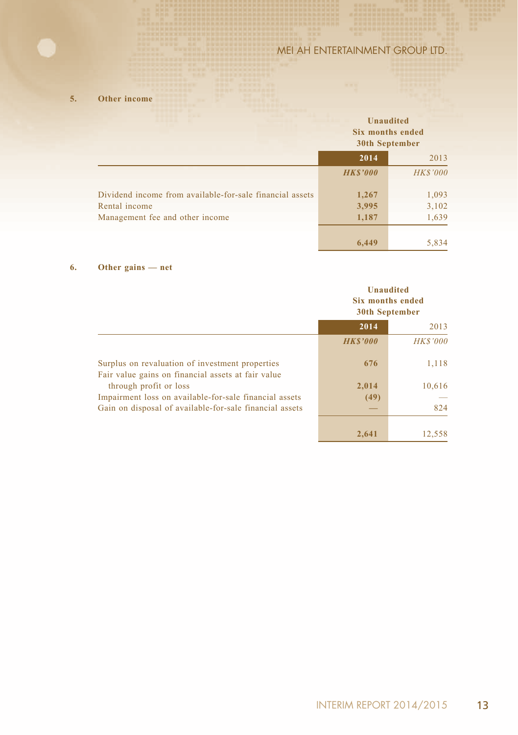**5. Other income**

|                                                          | <b>Unaudited</b><br>Six months ended<br>30th September |                 |
|----------------------------------------------------------|--------------------------------------------------------|-----------------|
|                                                          | 2014                                                   | 2013            |
|                                                          | <b>HKS'000</b>                                         | <b>HK\$'000</b> |
| Dividend income from available-for-sale financial assets | 1,267                                                  | 1,093           |
| Rental income                                            | 3,995                                                  | 3,102           |
| Management fee and other income                          | 1,187                                                  | 1,639           |
|                                                          | 6.449                                                  | 5,834           |

#### **6. Other gains — net**

|                                                                                                       | <b>Unaudited</b><br><b>Six months ended</b><br><b>30th September</b> |                 |
|-------------------------------------------------------------------------------------------------------|----------------------------------------------------------------------|-----------------|
|                                                                                                       | 2014<br>2013                                                         |                 |
|                                                                                                       | <b>HKS'000</b>                                                       | <b>HK\$'000</b> |
| Surplus on revaluation of investment properties<br>Fair value gains on financial assets at fair value | 676                                                                  | 1,118           |
| through profit or loss                                                                                | 2.014                                                                | 10,616          |
| Impairment loss on available-for-sale financial assets                                                | (49)                                                                 |                 |
| Gain on disposal of available-for-sale financial assets                                               |                                                                      | 824             |
|                                                                                                       | 2.641                                                                | 12.558          |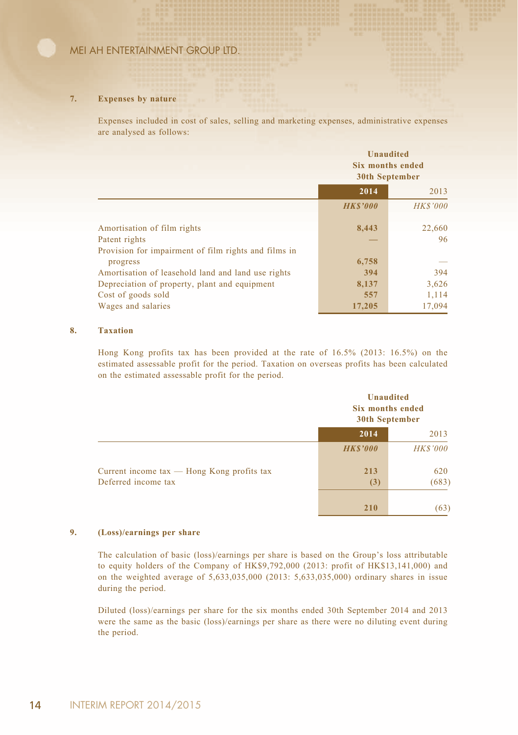#### **7. Expenses by nature**

Expenses included in cost of sales, selling and marketing expenses, administrative expenses are analysed as follows:

|                                                      | <b>Unaudited</b><br>Six months ended<br>30th September |                 |
|------------------------------------------------------|--------------------------------------------------------|-----------------|
|                                                      | 2014                                                   | 2013            |
|                                                      | <b>HKS'000</b>                                         | <b>HK\$'000</b> |
| Amortisation of film rights                          | 8,443                                                  | 22,660          |
| Patent rights                                        |                                                        | 96              |
| Provision for impairment of film rights and films in |                                                        |                 |
| progress                                             | 6,758                                                  |                 |
| Amortisation of leasehold land and land use rights   | 394                                                    | 394             |
| Depreciation of property, plant and equipment        | 8,137                                                  | 3,626           |
| Cost of goods sold                                   | 557                                                    | 1,114           |
| Wages and salaries                                   | 17,205                                                 | 17,094          |

#### **8. Taxation**

Hong Kong profits tax has been provided at the rate of 16.5% (2013: 16.5%) on the estimated assessable profit for the period. Taxation on overseas profits has been calculated on the estimated assessable profit for the period.

|                                                                       |                | <b>Unaudited</b><br>Six months ended<br>30th September |  |
|-----------------------------------------------------------------------|----------------|--------------------------------------------------------|--|
|                                                                       | 2014           | 2013                                                   |  |
|                                                                       | <b>HKS'000</b> | <b>HK\$'000</b>                                        |  |
| Current income $tax$ — Hong Kong profits $tax$<br>Deferred income tax | 213<br>(3)     | 620<br>(683)                                           |  |
|                                                                       | 210            | (63)                                                   |  |

#### **9. (Loss)/earnings per share**

The calculation of basic (loss)/earnings per share is based on the Group's loss attributable to equity holders of the Company of HK\$9,792,000 (2013: profit of HK\$13,141,000) and on the weighted average of 5,633,035,000 (2013: 5,633,035,000) ordinary shares in issue during the period.

Diluted (loss)/earnings per share for the six months ended 30th September 2014 and 2013 were the same as the basic (loss)/earnings per share as there were no diluting event during the period.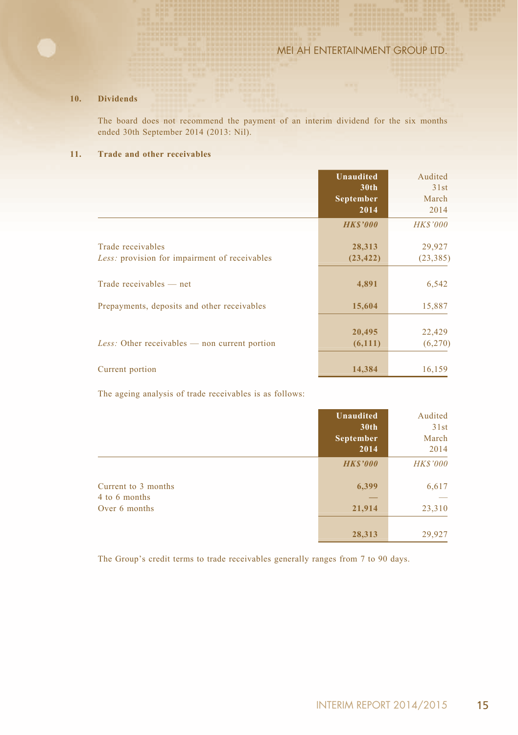#### **10. Dividends**

The board does not recommend the payment of an interim dividend for the six months ended 30th September 2014 (2013: Nil).

#### **11. Trade and other receivables**

|                                                                    | <b>Unaudited</b><br>30 <sub>th</sub><br>September<br>2014 | Audited<br>31st<br>March<br>2014 |
|--------------------------------------------------------------------|-----------------------------------------------------------|----------------------------------|
|                                                                    | <b>HKS'000</b>                                            | <b>HK\$'000</b>                  |
| Trade receivables<br>Less: provision for impairment of receivables | 28,313<br>(23, 422)                                       | 29,927<br>(23, 385)              |
| Trade receivables — net                                            | 4,891                                                     | 6,542                            |
| Prepayments, deposits and other receivables                        | 15,604                                                    | 15,887                           |
| <i>Less:</i> Other receivables $-$ non current portion             | 20,495<br>(6,111)                                         | 22,429<br>(6,270)                |
| Current portion                                                    | 14,384                                                    | 16,159                           |

The ageing analysis of trade receivables is as follows:

|                                      | <b>Unaudited</b><br>30th | Audited<br>31st |
|--------------------------------------|--------------------------|-----------------|
|                                      | September<br>2014        | March<br>2014   |
|                                      | <b>HKS'000</b>           | <b>HK\$'000</b> |
| Current to 3 months<br>4 to 6 months | 6,399                    | 6,617           |
| Over 6 months                        | 21,914                   | 23,310          |
|                                      | 28,313                   | 29,927          |

The Group's credit terms to trade receivables generally ranges from 7 to 90 days.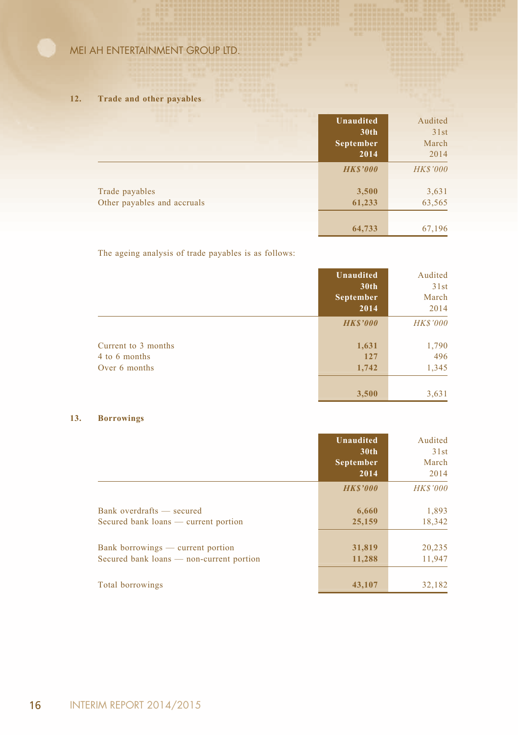#### **12. Trade and other payables**

|                             | Unaudited<br>30th<br>September<br>2014 | Audited<br>31st<br>March<br>2014 |
|-----------------------------|----------------------------------------|----------------------------------|
|                             | <b>HKS'000</b>                         | <b>HK\$'000</b>                  |
| Trade payables              | 3,500                                  | 3,631                            |
| Other payables and accruals | 61,233                                 | 63,565                           |
|                             |                                        |                                  |
|                             | 64,733                                 | 67,196                           |

The ageing analysis of trade payables is as follows:

|                                                       | <b>Unaudited</b><br>30th<br>September<br>2014 | Audited<br>31st<br>March<br>2014 |
|-------------------------------------------------------|-----------------------------------------------|----------------------------------|
|                                                       | <b>HKS'000</b>                                | <b>HK\$'000</b>                  |
| Current to 3 months<br>4 to 6 months<br>Over 6 months | 1,631<br>127<br>1,742                         | 1,790<br>496<br>1,345            |
|                                                       | 3,500                                         | 3,631                            |

### **13. Borrowings**

|                                                                               | <b>Unaudited</b><br>30 <sub>th</sub><br>September<br>2014 | Audited<br>31st<br>March<br>2014 |
|-------------------------------------------------------------------------------|-----------------------------------------------------------|----------------------------------|
|                                                                               | <b>HKS'000</b>                                            | <b>HK\$'000</b>                  |
| Bank overdrafts — secured<br>Secured bank loans — current portion             | 6,660<br>25,159                                           | 1,893<br>18,342                  |
| Bank borrowings — current portion<br>Secured bank loans — non-current portion | 31,819<br>11,288                                          | 20,235<br>11,947                 |
| Total borrowings                                                              | 43,107                                                    | 32.182                           |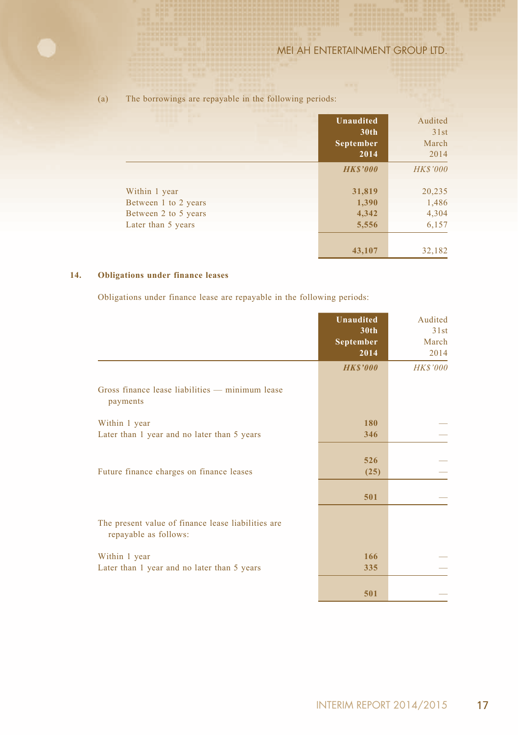|                                              | Unaudited<br>30 <sub>th</sub><br>September<br>2014 | Audited<br>31st<br>March<br>2014 |
|----------------------------------------------|----------------------------------------------------|----------------------------------|
|                                              | <b>HKS'000</b>                                     | <b>HK\$'000</b>                  |
| Within 1 year                                | 31,819                                             | 20,235                           |
| Between 1 to 2 years<br>Between 2 to 5 years | 1,390<br>4,342                                     | 1,486<br>4,304                   |
| Later than 5 years                           | 5,556                                              | 6,157                            |
|                                              | 43,107                                             | 32,182                           |

#### (a) The borrowings are repayable in the following periods:

#### **14. Obligations under finance leases**

Obligations under finance lease are repayable in the following periods:

|                                                                             | <b>Unaudited</b><br>30 <sub>th</sub><br><b>September</b><br>2014 | Audited<br>31st<br>March<br>2014 |
|-----------------------------------------------------------------------------|------------------------------------------------------------------|----------------------------------|
|                                                                             | <b>HK\$'000</b>                                                  | <b>HK\$'000</b>                  |
| Gross finance lease liabilities — minimum lease<br>payments                 |                                                                  |                                  |
| Within 1 year                                                               | 180                                                              |                                  |
| Later than 1 year and no later than 5 years                                 | 346                                                              |                                  |
|                                                                             |                                                                  |                                  |
| Future finance charges on finance leases                                    | 526                                                              |                                  |
|                                                                             | (25)                                                             |                                  |
|                                                                             | 501                                                              |                                  |
|                                                                             |                                                                  |                                  |
| The present value of finance lease liabilities are<br>repayable as follows: |                                                                  |                                  |
| Within 1 year                                                               | 166                                                              |                                  |
| Later than 1 year and no later than 5 years                                 | 335                                                              |                                  |
|                                                                             |                                                                  |                                  |
|                                                                             | 501                                                              |                                  |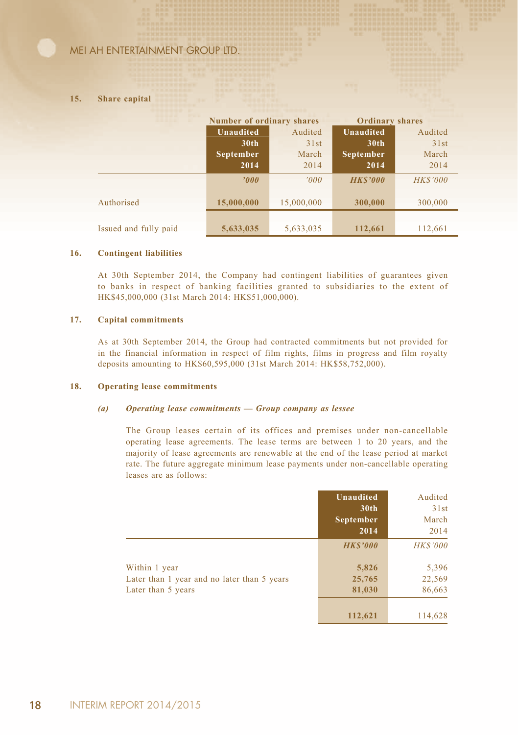#### **15. Share capital**

|                       | <b>Number of ordinary shares</b> |            | <b>Ordinary shares</b> |                 |
|-----------------------|----------------------------------|------------|------------------------|-----------------|
|                       | <b>Unaudited</b>                 | Audited    | <b>Unaudited</b>       | Audited         |
|                       | 30 <sub>th</sub>                 | 31st       | 30 <sub>th</sub>       | 31st            |
|                       | September                        | March      | September              | March           |
|                       | 2014                             | 2014       | 2014                   | 2014            |
|                       | 000'                             | '000'      | <b>HKS'000</b>         | <b>HK\$'000</b> |
| Authorised            | 15,000,000                       | 15,000,000 | 300,000                | 300,000         |
|                       |                                  |            |                        |                 |
| Issued and fully paid | 5,633,035                        | 5,633,035  | 112,661                | 112,661         |

#### **16. Contingent liabilities**

At 30th September 2014, the Company had contingent liabilities of guarantees given to banks in respect of banking facilities granted to subsidiaries to the extent of HK\$45,000,000 (31st March 2014: HK\$51,000,000).

#### **17. Capital commitments**

As at 30th September 2014, the Group had contracted commitments but not provided for in the financial information in respect of film rights, films in progress and film royalty deposits amounting to HK\$60,595,000 (31st March 2014: HK\$58,752,000).

#### **18. Operating lease commitments**

#### *(a) Operating lease commitments — Group company as lessee*

The Group leases certain of its offices and premises under non-cancellable operating lease agreements. The lease terms are between 1 to 20 years, and the majority of lease agreements are renewable at the end of the lease period at market rate. The future aggregate minimum lease payments under non-cancellable operating leases are as follows:

|                                                                   | <b>Unaudited</b><br>30 <sub>th</sub><br>September<br>2014 | Audited<br>31st<br>March<br>2014 |
|-------------------------------------------------------------------|-----------------------------------------------------------|----------------------------------|
|                                                                   | <b>HKS'000</b>                                            | <b>HK\$'000</b>                  |
| Within 1 year                                                     | 5,826                                                     | 5,396                            |
| Later than 1 year and no later than 5 years<br>Later than 5 years | 25,765<br>81,030                                          | 22,569<br>86,663                 |
|                                                                   | 112,621                                                   | 114,628                          |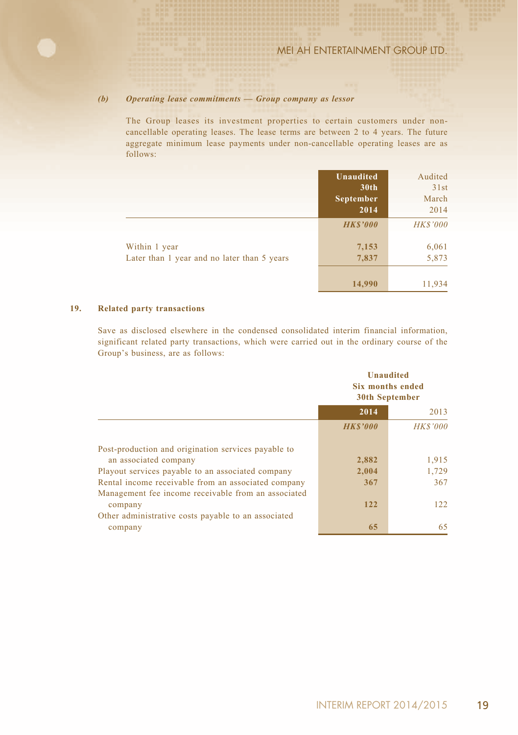#### *(b) Operating lease commitments — Group company as lessor*

The Group leases its investment properties to certain customers under noncancellable operating leases. The lease terms are between 2 to 4 years. The future aggregate minimum lease payments under non-cancellable operating leases are as follows:

|                                             | Unaudited        | Audited         |
|---------------------------------------------|------------------|-----------------|
|                                             | 30 <sub>th</sub> | 31st            |
|                                             | September        | March           |
|                                             | 2014             | 2014            |
|                                             | <b>HKS'000</b>   | <b>HK\$'000</b> |
| Within 1 year                               | 7,153            | 6,061           |
| Later than 1 year and no later than 5 years | 7,837            | 5,873           |
|                                             | 14,990           | 11,934          |

#### **19. Related party transactions**

Save as disclosed elsewhere in the condensed consolidated interim financial information, significant related party transactions, which were carried out in the ordinary course of the Group's business, are as follows:

|                                                     | <b>Unaudited</b><br>Six months ended<br><b>30th September</b> |                 |
|-----------------------------------------------------|---------------------------------------------------------------|-----------------|
|                                                     | 2014                                                          | 2013            |
|                                                     | <b>HKS'000</b>                                                | <b>HK\$'000</b> |
| Post-production and origination services payable to |                                                               |                 |
| an associated company                               | 2,882                                                         | 1,915           |
| Playout services payable to an associated company   | 2,004                                                         | 1.729           |
| Rental income receivable from an associated company | 367                                                           | 367             |
| Management fee income receivable from an associated |                                                               |                 |
| company                                             | 122                                                           | 122             |
| Other administrative costs payable to an associated |                                                               |                 |
| company                                             | 65                                                            | 65              |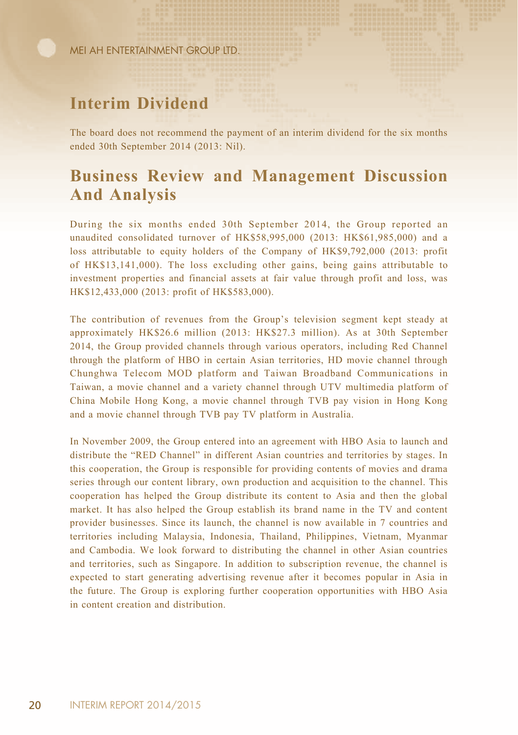# **Interim Dividend**

The board does not recommend the payment of an interim dividend for the six months ended 30th September 2014 (2013: Nil).

### **Business Review and Management Discussion And Analysis**

During the six months ended 30th September 2014, the Group reported an unaudited consolidated turnover of HK\$58,995,000 (2013: HK\$61,985,000) and a loss attributable to equity holders of the Company of HK\$9,792,000 (2013: profit of HK\$13,141,000). The loss excluding other gains, being gains attributable to investment properties and financial assets at fair value through profit and loss, was HK\$12,433,000 (2013: profit of HK\$583,000).

The contribution of revenues from the Group's television segment kept steady at approximately HK\$26.6 million (2013: HK\$27.3 million). As at 30th September 2014, the Group provided channels through various operators, including Red Channel through the platform of HBO in certain Asian territories, HD movie channel through Chunghwa Telecom MOD platform and Taiwan Broadband Communications in Taiwan, a movie channel and a variety channel through UTV multimedia platform of China Mobile Hong Kong, a movie channel through TVB pay vision in Hong Kong and a movie channel through TVB pay TV platform in Australia.

In November 2009, the Group entered into an agreement with HBO Asia to launch and distribute the "RED Channel" in different Asian countries and territories by stages. In this cooperation, the Group is responsible for providing contents of movies and drama series through our content library, own production and acquisition to the channel. This cooperation has helped the Group distribute its content to Asia and then the global market. It has also helped the Group establish its brand name in the TV and content provider businesses. Since its launch, the channel is now available in 7 countries and territories including Malaysia, Indonesia, Thailand, Philippines, Vietnam, Myanmar and Cambodia. We look forward to distributing the channel in other Asian countries and territories, such as Singapore. In addition to subscription revenue, the channel is expected to start generating advertising revenue after it becomes popular in Asia in the future. The Group is exploring further cooperation opportunities with HBO Asia in content creation and distribution.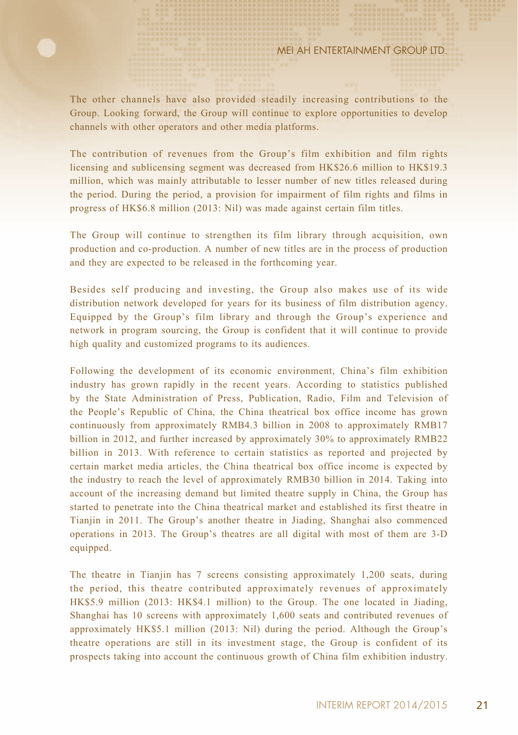The other channels have also provided steadily increasing contributions to the Group. Looking forward, the Group will continue to explore opportunities to develop channels with other operators and other media platforms.

The contribution of revenues from the Group's film exhibition and film rights licensing and sublicensing segment was decreased from HK\$26.6 million to HK\$19.3 million, which was mainly attributable to lesser number of new titles released during the period. During the period, a provision for impairment of film rights and films in progress of HK\$6.8 million (2013: Nil) was made against certain film titles.

The Group will continue to strengthen its film library through acquisition, own production and co-production. A number of new titles are in the process of production and they are expected to be released in the forthcoming year.

Besides self producing and investing, the Group also makes use of its wide distribution network developed for years for its business of film distribution agency. Equipped by the Group's film library and through the Group's experience and network in program sourcing, the Group is confident that it will continue to provide high quality and customized programs to its audiences.

Following the development of its economic environment, China's film exhibition industry has grown rapidly in the recent years. According to statistics published by the State Administration of Press, Publication, Radio, Film and Television of the People's Republic of China, the China theatrical box office income has grown continuously from approximately RMB4.3 billion in 2008 to approximately RMB17 billion in 2012, and further increased by approximately 30% to approximately RMB22 billion in 2013. With reference to certain statistics as reported and projected by certain market media articles, the China theatrical box office income is expected by the industry to reach the level of approximately RMB30 billion in 2014. Taking into account of the increasing demand but limited theatre supply in China, the Group has started to penetrate into the China theatrical market and established its first theatre in Tianjin in 2011. The Group's another theatre in Jiading, Shanghai also commenced operations in 2013. The Group's theatres are all digital with most of them are 3-D equipped.

The theatre in Tianjin has 7 screens consisting approximately 1,200 seats, during the period, this theatre contributed approximately revenues of approximately HK\$5.9 million (2013: HK\$4.1 million) to the Group. The one located in Jiading, Shanghai has 10 screens with approximately 1,600 seats and contributed revenues of approximately HK\$5.1 million (2013: Nil) during the period. Although the Group's theatre operations are still in its investment stage, the Group is confident of its prospects taking into account the continuous growth of China film exhibition industry.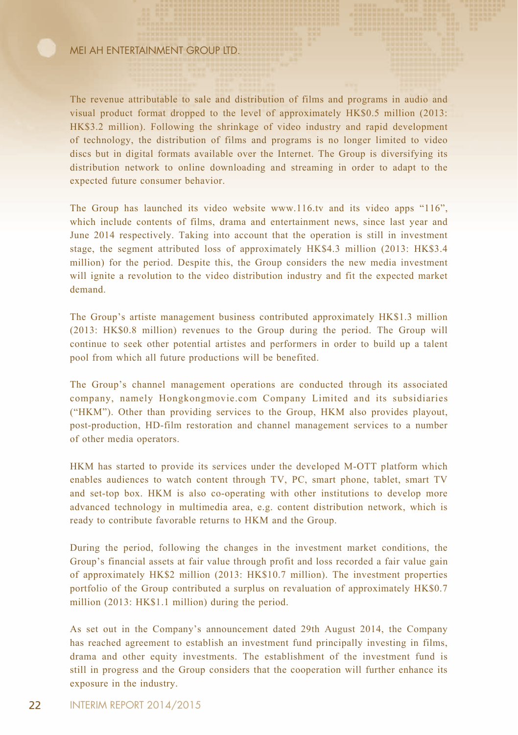The revenue attributable to sale and distribution of films and programs in audio and visual product format dropped to the level of approximately HK\$0.5 million (2013: HK\$3.2 million). Following the shrinkage of video industry and rapid development of technology, the distribution of films and programs is no longer limited to video discs but in digital formats available over the Internet. The Group is diversifying its distribution network to online downloading and streaming in order to adapt to the expected future consumer behavior.

The Group has launched its video website www.116.tv and its video apps "116", which include contents of films, drama and entertainment news, since last year and June 2014 respectively. Taking into account that the operation is still in investment stage, the segment attributed loss of approximately HK\$4.3 million (2013: HK\$3.4 million) for the period. Despite this, the Group considers the new media investment will ignite a revolution to the video distribution industry and fit the expected market demand.

The Group's artiste management business contributed approximately HK\$1.3 million (2013: HK\$0.8 million) revenues to the Group during the period. The Group will continue to seek other potential artistes and performers in order to build up a talent pool from which all future productions will be benefited.

The Group's channel management operations are conducted through its associated company, namely Hongkongmovie.com Company Limited and its subsidiaries ("HKM"). Other than providing services to the Group, HKM also provides playout, post-production, HD-film restoration and channel management services to a number of other media operators.

HKM has started to provide its services under the developed M-OTT platform which enables audiences to watch content through TV, PC, smart phone, tablet, smart TV and set-top box. HKM is also co-operating with other institutions to develop more advanced technology in multimedia area, e.g. content distribution network, which is ready to contribute favorable returns to HKM and the Group.

During the period, following the changes in the investment market conditions, the Group's financial assets at fair value through profit and loss recorded a fair value gain of approximately HK\$2 million (2013: HK\$10.7 million). The investment properties portfolio of the Group contributed a surplus on revaluation of approximately HK\$0.7 million (2013: HK\$1.1 million) during the period.

As set out in the Company's announcement dated 29th August 2014, the Company has reached agreement to establish an investment fund principally investing in films, drama and other equity investments. The establishment of the investment fund is still in progress and the Group considers that the cooperation will further enhance its exposure in the industry.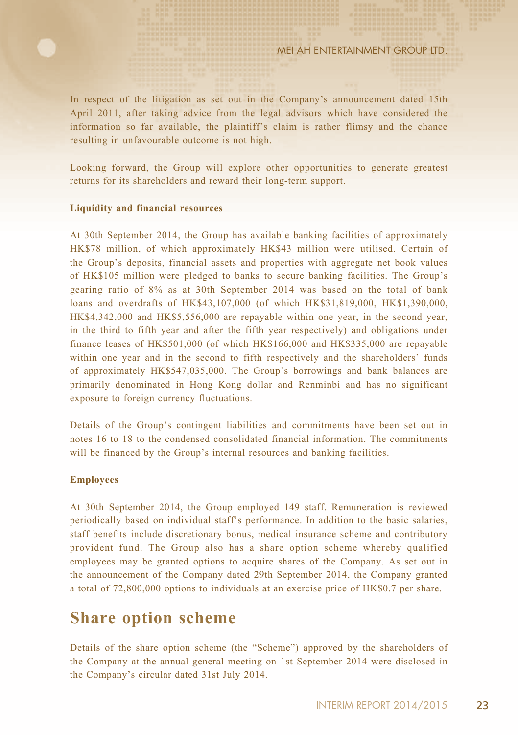In respect of the litigation as set out in the Company's announcement dated 15th April 2011, after taking advice from the legal advisors which have considered the information so far available, the plaintiff's claim is rather flimsy and the chance resulting in unfavourable outcome is not high.

Looking forward, the Group will explore other opportunities to generate greatest returns for its shareholders and reward their long-term support.

#### **Liquidity and financial resources**

At 30th September 2014, the Group has available banking facilities of approximately HK\$78 million, of which approximately HK\$43 million were utilised. Certain of the Group's deposits, financial assets and properties with aggregate net book values of HK\$105 million were pledged to banks to secure banking facilities. The Group's gearing ratio of 8% as at 30th September 2014 was based on the total of bank loans and overdrafts of HK\$43,107,000 (of which HK\$31,819,000, HK\$1,390,000, HK\$4,342,000 and HK\$5,556,000 are repayable within one year, in the second year, in the third to fifth year and after the fifth year respectively) and obligations under finance leases of HK\$501,000 (of which HK\$166,000 and HK\$335,000 are repayable within one year and in the second to fifth respectively and the shareholders' funds of approximately HK\$547,035,000. The Group's borrowings and bank balances are primarily denominated in Hong Kong dollar and Renminbi and has no significant exposure to foreign currency fluctuations.

Details of the Group's contingent liabilities and commitments have been set out in notes 16 to 18 to the condensed consolidated financial information. The commitments will be financed by the Group's internal resources and banking facilities.

#### **Employees**

At 30th September 2014, the Group employed 149 staff. Remuneration is reviewed periodically based on individual staff's performance. In addition to the basic salaries, staff benefits include discretionary bonus, medical insurance scheme and contributory provident fund. The Group also has a share option scheme whereby qualified employees may be granted options to acquire shares of the Company. As set out in the announcement of the Company dated 29th September 2014, the Company granted a total of 72,800,000 options to individuals at an exercise price of HK\$0.7 per share.

### **Share option scheme**

Details of the share option scheme (the "Scheme") approved by the shareholders of the Company at the annual general meeting on 1st September 2014 were disclosed in the Company's circular dated 31st July 2014.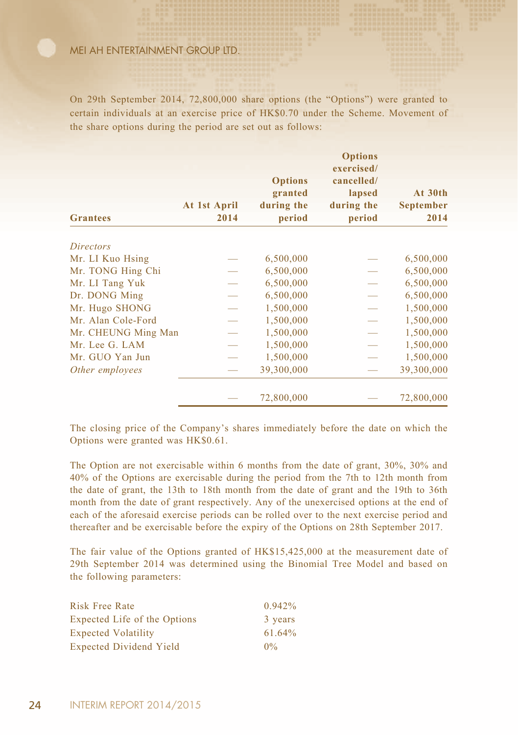On 29th September 2014, 72,800,000 share options (the "Options") were granted to certain individuals at an exercise price of HK\$0.70 under the Scheme. Movement of the share options during the period are set out as follows:

|                     | At 1st April | <b>Options</b><br>granted<br>during the | <b>Options</b><br>exercised/<br>cancelled/<br>lapsed<br>during the | At 30th<br><b>September</b> |
|---------------------|--------------|-----------------------------------------|--------------------------------------------------------------------|-----------------------------|
| <b>Grantees</b>     | 2014         | period                                  | period                                                             | 2014                        |
| <b>Directors</b>    |              |                                         |                                                                    |                             |
| Mr. LI Kuo Hsing    |              | 6,500,000                               |                                                                    | 6,500,000                   |
| Mr. TONG Hing Chi   |              | 6,500,000                               |                                                                    | 6,500,000                   |
| Mr. LI Tang Yuk     |              | 6,500,000                               |                                                                    | 6,500,000                   |
| Dr. DONG Ming       |              | 6,500,000                               |                                                                    | 6,500,000                   |
| Mr. Hugo SHONG      |              | 1,500,000                               |                                                                    | 1,500,000                   |
| Mr. Alan Cole-Ford  |              | 1,500,000                               |                                                                    | 1,500,000                   |
| Mr. CHEUNG Ming Man |              | 1,500,000                               |                                                                    | 1,500,000                   |
| Mr. Lee G. LAM      |              | 1,500,000                               |                                                                    | 1,500,000                   |
| Mr. GUO Yan Jun     |              | 1,500,000                               |                                                                    | 1,500,000                   |
| Other employees     |              | 39,300,000                              |                                                                    | 39,300,000                  |
|                     |              | 72,800,000                              |                                                                    | 72,800,000                  |

The closing price of the Company's shares immediately before the date on which the Options were granted was HK\$0.61.

The Option are not exercisable within 6 months from the date of grant, 30%, 30% and 40% of the Options are exercisable during the period from the 7th to 12th month from the date of grant, the 13th to 18th month from the date of grant and the 19th to 36th month from the date of grant respectively. Any of the unexercised options at the end of each of the aforesaid exercise periods can be rolled over to the next exercise period and thereafter and be exercisable before the expiry of the Options on 28th September 2017.

The fair value of the Options granted of HK\$15,425,000 at the measurement date of 29th September 2014 was determined using the Binomial Tree Model and based on the following parameters:

| Risk Free Rate                 | 0.942%  |
|--------------------------------|---------|
| Expected Life of the Options   | 3 years |
| <b>Expected Volatility</b>     | 61.64%  |
| <b>Expected Dividend Yield</b> | $0\%$   |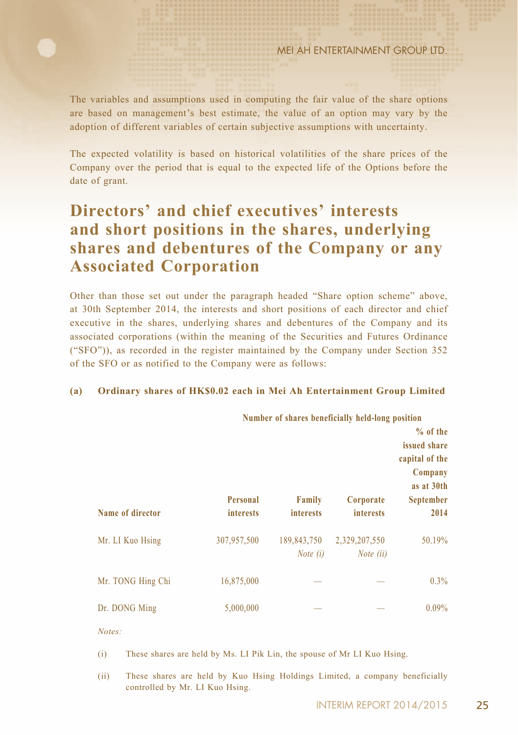The variables and assumptions used in computing the fair value of the share options are based on management's best estimate, the value of an option may vary by the adoption of different variables of certain subjective assumptions with uncertainty.

The expected volatility is based on historical volatilities of the share prices of the Company over the period that is equal to the expected life of the Options before the date of grant.

# **Directors' and chief executives' interests and short positions in the shares, underlying shares and debentures of the Company or any Associated Corporation**

Other than those set out under the paragraph headed "Share option scheme" above, at 30th September 2014, the interests and short positions of each director and chief executive in the shares, underlying shares and debentures of the Company and its associated corporations (within the meaning of the Securities and Futures Ordinance ("SFO")), as recorded in the register maintained by the Company under Section 352 of the SFO or as notified to the Company were as follows:

#### **(a) Ordinary shares of HK\$0.02 each in Mei Ah Entertainment Group Limited**

|                   | Number of shares beneficially held-long position |                            |                               | $%$ of the<br>issued share<br>capital of the<br>Company |
|-------------------|--------------------------------------------------|----------------------------|-------------------------------|---------------------------------------------------------|
| Name of director  | Personal<br><b>interests</b>                     | Family<br><b>interests</b> | Corporate<br><i>interests</i> | as at 30th<br>September<br>2014                         |
| Mr. LI Kuo Hsing  | 307,957,500                                      | 189,843,750<br>Note $(i)$  | 2,329,207,550<br>Note (ii)    | 50.19%                                                  |
| Mr. TONG Hing Chi | 16,875,000                                       |                            |                               | 0.3%                                                    |
| Dr. DONG Ming     | 5,000,000                                        |                            |                               | $0.09\%$                                                |

*Notes:*

(i) These shares are held by Ms. LI Pik Lin, the spouse of Mr LI Kuo Hsing.

(ii) These shares are held by Kuo Hsing Holdings Limited, a company beneficially controlled by Mr. LI Kuo Hsing.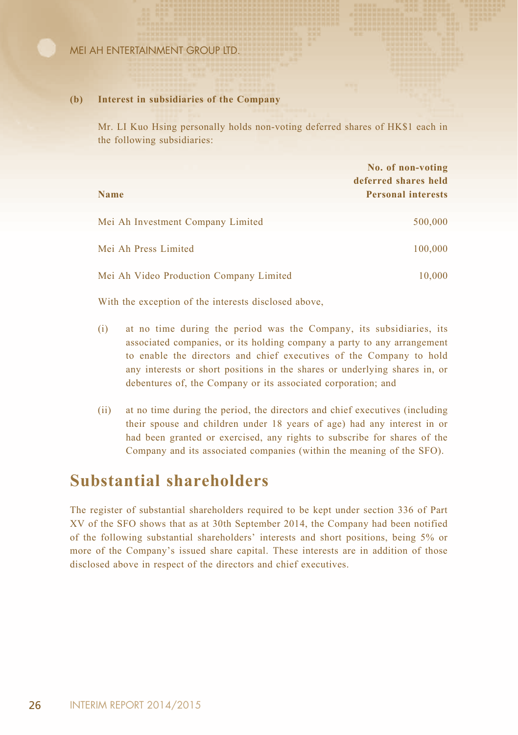#### **(b) Interest in subsidiaries of the Company**

Mr. LI Kuo Hsing personally holds non-voting deferred shares of HK\$1 each in the following subsidiaries:

| <b>Name</b>                             | No. of non-voting<br>deferred shares held<br><b>Personal interests</b> |
|-----------------------------------------|------------------------------------------------------------------------|
| Mei Ah Investment Company Limited       | 500,000                                                                |
| Mei Ah Press Limited                    | 100,000                                                                |
| Mei Ah Video Production Company Limited | 10,000                                                                 |

With the exception of the interests disclosed above,

- (i) at no time during the period was the Company, its subsidiaries, its associated companies, or its holding company a party to any arrangement to enable the directors and chief executives of the Company to hold any interests or short positions in the shares or underlying shares in, or debentures of, the Company or its associated corporation; and
- (ii) at no time during the period, the directors and chief executives (including their spouse and children under 18 years of age) had any interest in or had been granted or exercised, any rights to subscribe for shares of the Company and its associated companies (within the meaning of the SFO).

### **Substantial shareholders**

The register of substantial shareholders required to be kept under section 336 of Part XV of the SFO shows that as at 30th September 2014, the Company had been notified of the following substantial shareholders' interests and short positions, being 5% or more of the Company's issued share capital. These interests are in addition of those disclosed above in respect of the directors and chief executives.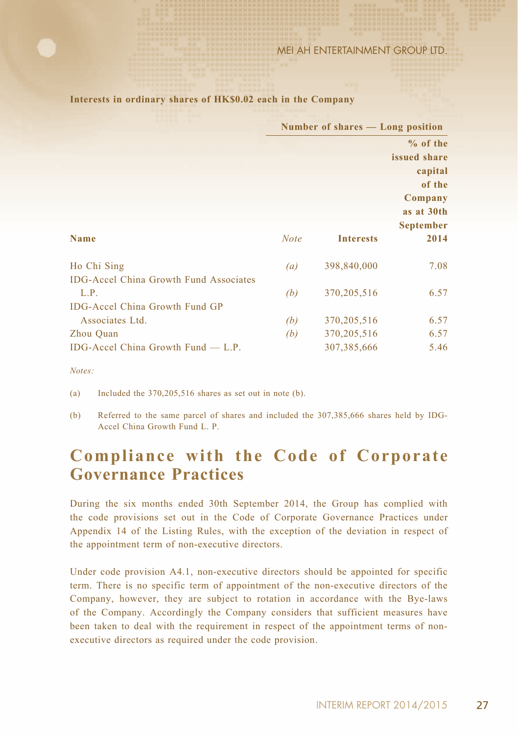|                                               | Number of shares — Long position |                  |                  |
|-----------------------------------------------|----------------------------------|------------------|------------------|
|                                               |                                  |                  | $%$ of the       |
|                                               |                                  |                  | issued share     |
|                                               |                                  |                  | capital          |
|                                               |                                  |                  | of the           |
|                                               |                                  |                  | Company          |
|                                               |                                  |                  | as at 30th       |
|                                               |                                  |                  | <b>September</b> |
| <b>Name</b>                                   | <b>Note</b>                      | <b>Interests</b> | 2014             |
| Ho Chi Sing                                   | (a)                              | 398,840,000      | 7.08             |
| <b>IDG-Accel China Growth Fund Associates</b> |                                  |                  |                  |
| L.P.                                          | (b)                              | 370, 205, 516    | 6.57             |
| IDG-Accel China Growth Fund GP                |                                  |                  |                  |
| Associates Ltd.                               | (b)                              | 370, 205, 516    | 6.57             |
| Zhou Quan                                     | (b)                              | 370, 205, 516    | 6.57             |
| IDG-Accel China Growth Fund $-$ L.P.          |                                  | 307, 385, 666    | 5.46             |

**Interests in ordinary shares of HK\$0.02 each in the Company**

*Notes:*

(a) Included the 370,205,516 shares as set out in note (b).

(b) Referred to the same parcel of shares and included the 307,385,666 shares held by IDG-Accel China Growth Fund L. P.

# **Compliance with the Code of Corporate Governance Practices**

During the six months ended 30th September 2014, the Group has complied with the code provisions set out in the Code of Corporate Governance Practices under Appendix 14 of the Listing Rules, with the exception of the deviation in respect of the appointment term of non-executive directors.

Under code provision A4.1, non-executive directors should be appointed for specific term. There is no specific term of appointment of the non-executive directors of the Company, however, they are subject to rotation in accordance with the Bye-laws of the Company. Accordingly the Company considers that sufficient measures have been taken to deal with the requirement in respect of the appointment terms of nonexecutive directors as required under the code provision.